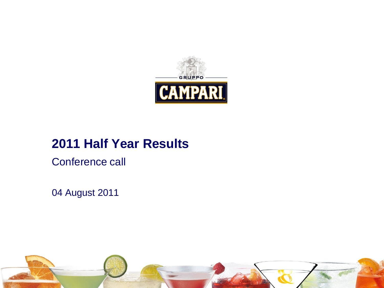

### **2011 Half Year Results**

Conference call

04 August 2011

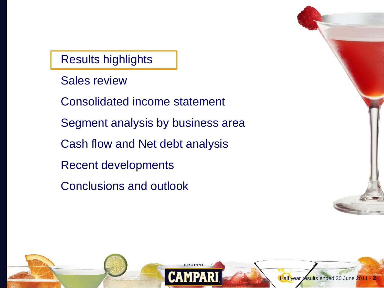Results highlights

- Sales review
- Consolidated income statement
- Segment analysis by business area
- Cash flow and Net debt analysis
- Recent developments
- Conclusions and outlook

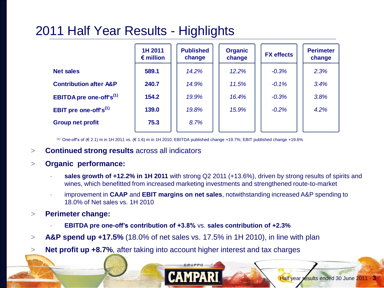### 2011 Half Year Results - Highlights

|                                            | 1H 2011<br>$\epsilon$ million | <b>Published</b><br>change | <b>Organic</b><br>change | <b>FX</b> effects | <b>Perimeter</b><br>change |
|--------------------------------------------|-------------------------------|----------------------------|--------------------------|-------------------|----------------------------|
| <b>Net sales</b>                           | 589.1                         | 14.2%                      | 12.2%                    | $-0.3%$           | 2.3%                       |
| <b>Contribution after A&amp;P</b>          | 240.7                         | 14.9%                      | 11.5%                    | $-0.1%$           | 3.4%                       |
| <b>EBITDA</b> pre one-off's <sup>(1)</sup> | 154.2                         | 19.9%                      | 16.4%                    | $-0.3%$           | 3.8%                       |
| EBIT pre one-off's $^{(1)}$                | 139.0                         | 19.8%                      | 15.9%                    | $-0.2%$           | 4.2%                       |
| <b>Group net profit</b>                    | 75.3                          | 8.7%                       |                          |                   |                            |

(1) One-off's of (€ 2.1) m in 1H 2011 vs. (€ 1.6) m in 1H 2010. EBITDA published change +19.7%; EBIT published change +19.6%

> **Continued strong results** across all indicators

#### > **Organic performance:**

- **sales growth of +12.2% in 1H 2011** with strong Q2 2011 (+13.6%), driven by strong results of spirits and wines, which benefitted from increased marketing investments and strengthened route-to-market
- improvement in **CAAP** and **EBIT margins on net sales**, notwithstanding increased A&P spending to 18.0% of Net sales vs. 1H 2010
- > **Perimeter change:** 
	- **EBITDA pre one-off's contribution of +3.8%** vs. sales contribution of +2.3%
- > **A&P spend up +17.5%** (18.0% of net sales vs. 17.5% in 1H 2010), in line with plan
- > **Net profit up +8.7%**, after taking into account higher interest and tax charges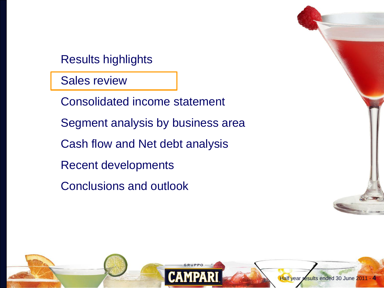Results highlights

Sales review

Consolidated income statement

Segment analysis by business area

Cash flow and Net debt analysis

Recent developments

Conclusions and outlook

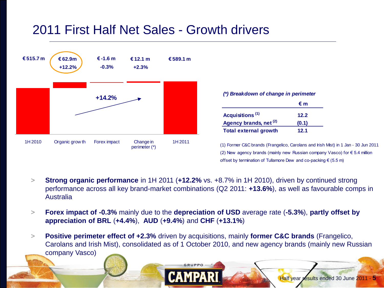### 2011 First Half Net Sales - Growth drivers



|                              | €m    |
|------------------------------|-------|
| Acquisitions <sup>(1)</sup>  | 12.2  |
| Agency brands, net (2)       | (0.1) |
| <b>Total external growth</b> | 12.1  |

(1) Former C&C brands (Frangelico, Carolans and Irish Mist) in 1 Jan - 30 Jun 2011 (1) Former C&C brands (Frangelico, Carolans and Irish Mist) in 1 Jan - 30 Jun 2(<br>(2) New agency brands (mainly new Russian company Vasco) for € 5.4 million (2) New agency brands (mainly new Russian company Vasco) for € 5.4 million offset by termination of Tullamore Dew and co-packing € (5.5 m)

- > **Strong organic performance** in 1H 2011 (**+12.2%** vs. +8.7% in 1H 2010), driven by continued strong performance across all key brand-market combinations (Q2 2011: **+13.6%**), as well as favourable comps in Australia
- > **Forex impact of -0.3%** mainly due to the **depreciation of USD** average rate (**-5.3%**), **partly offset by appreciation of BRL** (**+4.4%**), **AUD** (**+9.4%**) and **CHF** (**+13.1%**)
- > **Positive perimeter effect of +2.3%** driven by acquisitions, mainly **former C&C brands** (Frangelico, Carolans and Irish Mist), consolidated as of 1 October 2010, and new agency brands (mainly new Russian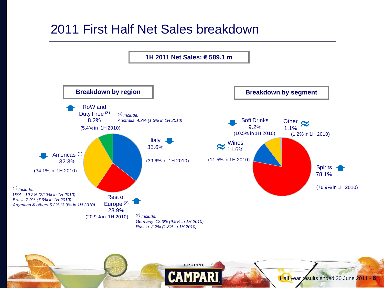### 2011 First Half Net Sales breakdown

**1H 2011 Net Sales: € 589.1 m** 



GRUPPO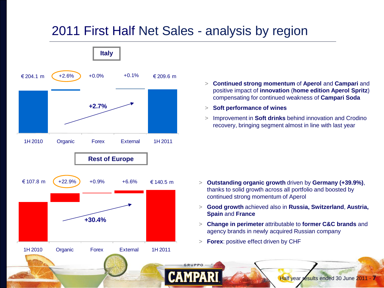### 2011 First Half Net Sales - analysis by region



- > **Continued strong momentum** of **Aperol** and **Campari** and positive impact of **innovation** (**home edition Aperol Spritz**) compensating for continued weakness of **Campari Soda**
- > **Soft performance of wines**
- > Improvement in **Soft drinks** behind innovation and Crodino recovery, bringing segment almost in line with last year

- > **Outstanding organic growth** driven by **Germany (+39.9%)**, thanks to solid growth across all portfolio and boosted by continued strong momentum of Aperol
- > **Good growth** achieved also in **Russia, Switzerland**, **Austria, Spain** and **France**
- > **Change in perimeter** attributable to **former C&C brands** and agency brands in newly acquired Russian company
- > **Forex**: positive effect driven by CHF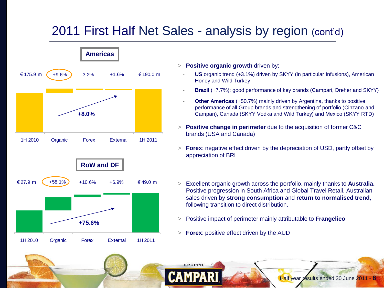### 2011 First Half Net Sales - analysis by region (cont'd)



- > **Positive organic growth** driven by:
	- US organic trend (+3.1%) driven by SKYY (in particular Infusions), American Honey and Wild Turkey
	- **Brazil** (+7.7%): good performance of key brands (Campari, Dreher and SKYY)
	- **Other Americas** (+50.7%) mainly driven by Argentina, thanks to positive performance of all Group brands and strengthening of portfolio (Cinzano and Campari), Canada (SKYY Vodka and Wild Turkey) and Mexico (SKYY RTD)
- > **Positive change in perimeter** due to the acquisition of former C&C brands (USA and Canada)
- > **Forex**: negative effect driven by the depreciation of USD, partly offset by appreciation of BRL
- > Excellent organic growth across the portfolio, mainly thanks to **Australia.**  Positive progression in South Africa and Global Travel Retail. Australian sales driven by **strong consumption** and **return to normalised trend**, following transition to direct distribution.
- > Positive impact of perimeter mainly attributable to **Frangelico**
- > **Forex**: positive effect driven by the AUD

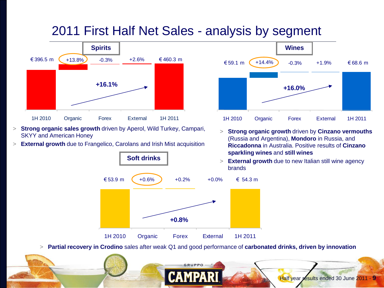### 2011 First Half Net Sales - analysis by segment



- > **Strong organic sales growth** driven by Aperol, Wild Turkey, Campari, SKYY and American Honey
- > **External growth** due to Frangelico, Carolans and Irish Mist acquisition





- > **Strong organic growth** driven by **Cinzano vermouths**  (Russia and Argentina), **Mondoro** in Russia, and **Riccadonna** in Australia. Positive results of **Cinzano sparkling wines** and **still wines**
- > **External growth** due to new Italian still wine agency

Half year results ended 30 June 2011 - **9**

> **Partial recovery in Crodino** sales after weak Q1 and good performance of **carbonated drinks, driven by innovation**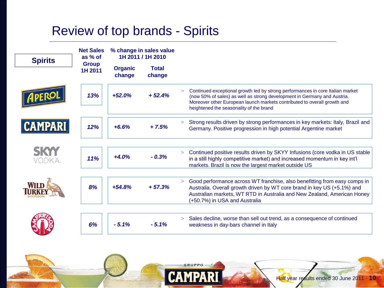### Review of top brands - Spirits

|                | <b>Net Sales</b>        |                          | % change in sales value |        |                                                                                                                                                                                                                                                                                   |
|----------------|-------------------------|--------------------------|-------------------------|--------|-----------------------------------------------------------------------------------------------------------------------------------------------------------------------------------------------------------------------------------------------------------------------------------|
| <b>Spirits</b> | as % of<br><b>Group</b> |                          | 1H 2011 / 1H 2010       |        |                                                                                                                                                                                                                                                                                   |
|                | 1H 2011                 | <b>Organic</b><br>change | <b>Total</b><br>change  |        |                                                                                                                                                                                                                                                                                   |
|                | 13%                     | $+52.0%$                 | $+52.4%$                | $\geq$ | Continued exceptional growth led by strong performances in core Italian market<br>(now 50% of sales) as well as strong development in Germany and Austria.<br>Moreover other European launch markets contributed to overall growth and<br>heightened the seasonality of the brand |
| <b>CAMPARI</b> | 12%                     | $+6.6%$                  | $+7.5%$                 | >      | Strong results driven by strong performances in key markets: Italy, Brazil and<br>Germany. Positive progression in high potential Argentine market                                                                                                                                |
|                |                         | $+4.0%$                  | $-0.3%$                 | >      | Continued positive results driven by SKYY Infusions (core vodka in US stable                                                                                                                                                                                                      |
| vodka.         | 11%                     |                          |                         |        | in a still highly competitive market) and increased momentum in key int'l<br>markets. Brazil is now the largest market outside US                                                                                                                                                 |
|                |                         |                          |                         |        |                                                                                                                                                                                                                                                                                   |
|                | 8%                      | $+54.8%$                 | $+57.3%$                | >      | Good performance across WT franchise, also benefitting from easy comps in<br>Australia. Overall growth driven by WT core brand in key US (+5.1%) and<br>Australian markets, WT RTD in Australia and New Zealand, American Honey<br>(+50.7%) in USA and Australia                  |
|                |                         |                          |                         |        |                                                                                                                                                                                                                                                                                   |
|                | 6%                      | $-5.1%$                  | $-5.1%$                 | >      | Sales decline, worse than sell out trend, as a consequence of continued<br>weakness in day-bars channel in Italy                                                                                                                                                                  |
|                |                         |                          |                         |        |                                                                                                                                                                                                                                                                                   |

**GRUPPO**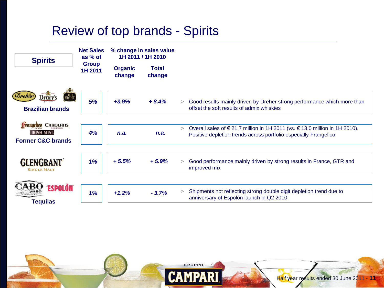### Review of top brands - Spirits



GRUPPO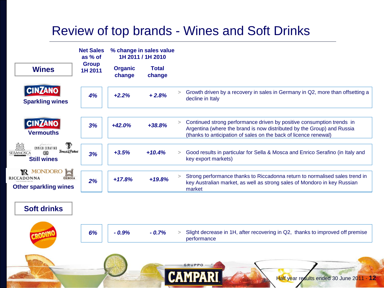### Review of top brands - Wines and Soft Drinks

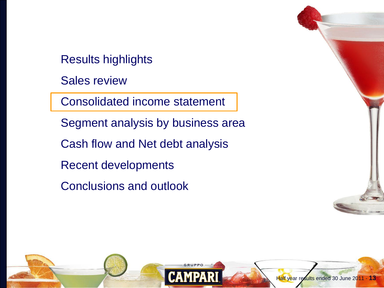Results highlights

Sales review

Consolidated income statement

Segment analysis by business area

Cash flow and Net debt analysis

Recent developments

Conclusions and outlook

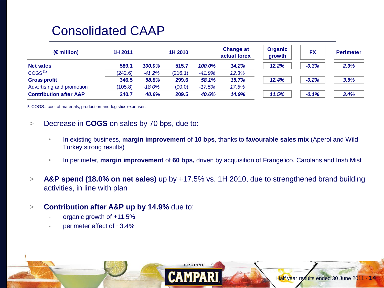### Consolidated CAAP

| $(\epsilon$ million)              | 1H 2011 |           | 1H 2010 |          | <b>Change at</b><br>actual forex | <b>Organic</b><br>growth | <b>FX</b> | Perimeter |
|-----------------------------------|---------|-----------|---------|----------|----------------------------------|--------------------------|-----------|-----------|
| <b>Net sales</b>                  | 589.1   | 100.0%    | 515.7   | 100.0%   | 14.2%                            | 12.2%                    | $-0.3%$   | 2.3%      |
| COGS <sup>(1)</sup>               | (242.6) | $-41.2%$  | (216.1) | $-41.9%$ | 12.3%                            |                          |           |           |
| <b>Gross profit</b>               | 346.5   | 58.8%     | 299.6   | 58.1%    | 15.7%                            | 12.4%                    | $-0.2%$   | 3.5%      |
| Advertising and promotion         | (105.8) | $-18.0\%$ | (90.0)  | $-17.5%$ | 17.5%                            |                          |           |           |
| <b>Contribution after A&amp;P</b> | 240.7   | 40.9%     | 209.5   | 40.6%    | 14.9%                            | 11.5%                    | $-0.1%$   | 3.4%      |

(1) COGS= cost of materials, production and logistics expenses

- > Decrease in **COGS** on sales by 70 bps, due to:
	- In existing business, **margin improvement** of **10 bps**, thanks to **favourable sales mix** (Aperol and Wild Turkey strong results)
	- In perimeter, **margin improvement** of **60 bps,** driven by acquisition of Frangelico, Carolans and Irish Mist

Half year results ended 30 June 2011 - **14**

- > **A&P spend (18.0% on net sales)** up by +17.5% vs. 1H 2010, due to strengthened brand building activities, in line with plan
- > **Contribution after A&P up by 14.9%** due to:
	- organic growth of +11.5%
	- perimeter effect of +3.4%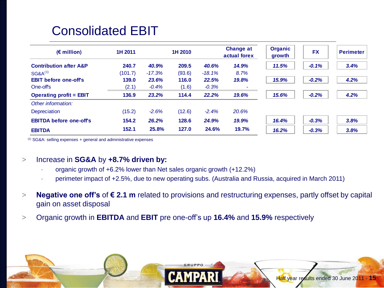## Consolidated EBIT

| $(\epsilon$ million)              | 1H 2011 |          | 1H 2010 |          | <b>Change at</b><br>actual forex | <b>Organic</b><br>growth | <b>FX</b> | <b>Perimeter</b> |
|-----------------------------------|---------|----------|---------|----------|----------------------------------|--------------------------|-----------|------------------|
| <b>Contribution after A&amp;P</b> | 240.7   | 40.9%    | 209.5   | 40.6%    | 14.9%                            | 11.5%                    | $-0.1%$   | 3.4%             |
| $SG8A^{(1)}$                      | (101.7) | $-17.3%$ | (93.6)  | $-18.1%$ | 8.7%                             |                          |           |                  |
| <b>EBIT</b> before one-off's      | 139.0   | 23.6%    | 116.0   | 22.5%    | 19.8%                            | 15.9%                    | $-0.2%$   | 4.2%             |
| One-off's                         | (2.1)   | $-0.4%$  | (1.6)   | $-0.3%$  | ۰                                |                          |           |                  |
| <b>Operating profit = EBIT</b>    | 136.9   | 23.2%    | 114.4   | 22.2%    | 19.6%                            | 15.6%                    | $-0.2%$   | 4.2%             |
| Other information:                |         |          |         |          |                                  |                          |           |                  |
| Depreciation                      | (15.2)  | $-2.6%$  | (12.6)  | $-2.4%$  | 20.6%                            |                          |           |                  |
| <b>EBITDA before one-off's</b>    | 154.2   | 26.2%    | 128.6   | 24.9%    | 19.9%                            | 16.4%                    | $-0.3%$   | 3.8%             |
| <b>EBITDA</b>                     | 152.1   | 25.8%    | 127.0   | 24.6%    | 19.7%                            | 16.2%                    | $-0.3%$   | 3.8%             |

(1) SG&A: selling expenses + general and administrative expenses

#### > Increase in **SG&A** by **+8.7% driven by:**

- organic growth of +6.2% lower than Net sales organic growth (+12.2%)
- perimeter impact of +2.5%, due to new operating subs. (Australia and Russia, acquired in March 2011)
- > **Negative one off's** of **€ 2.1 m** related to provisions and restructuring expenses, partly offset by capital gain on asset disposal

Half year results ended 30 June 2011 - **15**

> Organic growth in **EBITDA** and **EBIT** pre one-off's up **16.4%** and **15.9%** respectively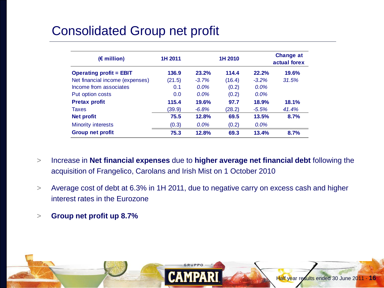## Consolidated Group net profit

| $(E$ million)                   | 1H 2011 |         | 1H 2010 |          | <b>Change at</b><br>actual forex |
|---------------------------------|---------|---------|---------|----------|----------------------------------|
| <b>Operating profit = EBIT</b>  | 136.9   | 23.2%   | 114.4   | 22.2%    | 19.6%                            |
| Net financial income (expenses) | (21.5)  | $-3.7%$ | (16.4)  | $-3.2\%$ | 31.5%                            |
| Income from associates          | 0.1     | $0.0\%$ | (0.2)   | $0.0\%$  |                                  |
| Put option costs                | 0.0     | $0.0\%$ | (0.2)   | $0.0\%$  |                                  |
| <b>Pretax profit</b>            | 115.4   | 19.6%   | 97.7    | 18.9%    | 18.1%                            |
| <b>Taxes</b>                    | (39.9)  | $-6.8%$ | (28.2)  | $-5.5%$  | 41.4%                            |
| <b>Net profit</b>               | 75.5    | 12.8%   | 69.5    | 13.5%    | 8.7%                             |
| <b>Minority interests</b>       | (0.3)   | $0.0\%$ | (0.2)   | $0.0\%$  |                                  |
| <b>Group net profit</b>         | 75.3    | 12.8%   | 69.3    | 13.4%    | 8.7%                             |

- > Increase in **Net financial expenses** due to **higher average net financial debt** following the acquisition of Frangelico, Carolans and Irish Mist on 1 October 2010
- > Average cost of debt at 6.3% in 1H 2011, due to negative carry on excess cash and higher interest rates in the Eurozone

Half year results ended 30 June 2011 - **16**

> **Group net profit up 8.7%**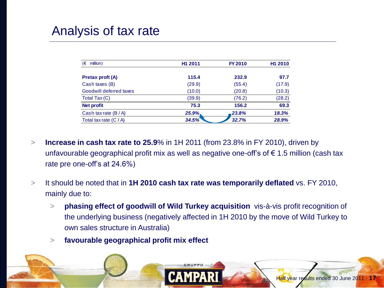### Analysis of tax rate

| million)<br>ι€          | H <sub>1</sub> 2011 | <b>FY 2010</b> | H <sub>1</sub> 2010 |
|-------------------------|---------------------|----------------|---------------------|
| <b>Pretax proft (A)</b> | 115.4               | 232.9          | 97.7                |
| Cash taxes (B)          | (29.9)              | (55.4)         | (17.9)              |
| Goodwill deferred taxes | (10.0)              | (20.8)         | (10.3)              |
| Total Tax (C)           | (39.9)              | (76.2)         | (28.2)              |
| <b>Net profit</b>       | 75.3                | 156.2          | 69.3                |
| Cash tax rate $(B/A)$   | $25.9\%$            | 23.8%          | 18.3%               |
| Total tax rate $(C/A)$  | 34.5%               | 32.7%          | 28.9%               |

- > **Increase in cash tax rate to 25.9**% in 1H 2011 (from 23.8% in FY 2010), driven by unfavourable geographical profit mix as well as negative one-off's of  $\epsilon$  1.5 million (cash tax rate pre one-off's at 24.6%)
- > It should be noted that in **1H 2010 cash tax rate was temporarily deflated** vs. FY 2010, mainly due to:
	- > **phasing effect of goodwill of Wild Turkey acquisition** vis-à-vis profit recognition of the underlying business (negatively affected in 1H 2010 by the move of Wild Turkey to own sales structure in Australia)
	- > **favourable geographical profit mix effect**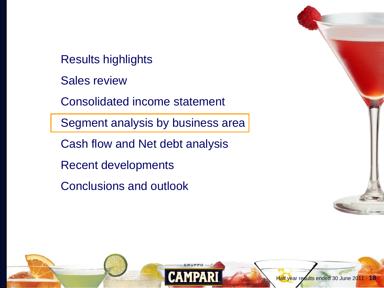Results highlights

Sales review

Consolidated income statement

Segment analysis by business area

Cash flow and Net debt analysis

Recent developments

Conclusions and outlook

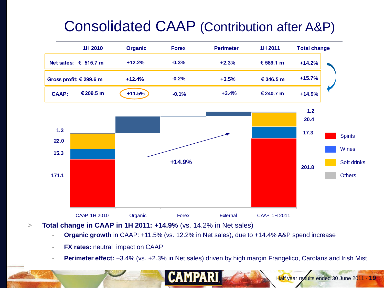# Consolidated CAAP (Contribution after A&P)

| 1H 2010                       | <b>Organic</b> | <b>Forex</b> | <b>Perimeter</b> | 1H 2011   | <b>Total change</b> |
|-------------------------------|----------------|--------------|------------------|-----------|---------------------|
| Net sales: $\epsilon$ 515.7 m | $+12.2%$       | $-0.3%$      | $+2.3%$          | € 589.1 m | $+14.2%$            |
| Gross profit: € 299.6 m       | $+12.4%$       | $-0.2%$      | $+3.5%$          | € 346.5 m | $+15.7%$            |
| € 209.5 m<br><b>CAAP:</b>     | $+11.5%$       | $-0.1%$      | $+3.4%$          | € 240.7 m | $+14.9%$            |



- > **Total change in CAAP in 1H 2011: +14.9%** (vs. 14.2% in Net sales)
	- **Organic growth** in CAAP: +11.5% (vs. 12.2% in Net sales), due to +14.4% A&P spend increase

- **FX rates: neutral impact on CAAP**
- **Perimeter effect:**  $+3.4\%$  (vs.  $+2.3\%$  in Net sales) driven by high margin Frangelico, Carolans and Irish Mist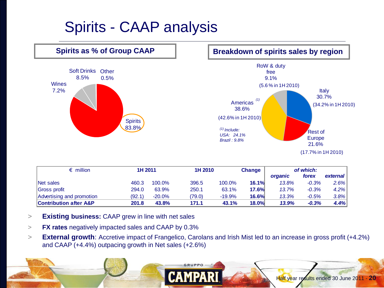# Spirits - CAAP analysis



| $\epsilon$ million                | 1H 2011 |          | 1H 2010 |          | <b>Change</b> |         | of which: |          |
|-----------------------------------|---------|----------|---------|----------|---------------|---------|-----------|----------|
|                                   |         |          |         |          |               | organic | forex     | external |
| Net sales                         | 460.3   | 100.0%   | 396.5   | 100.0%   | 16.1%         | 13.8%   | $-0.3%$   | 2.6%     |
| Gross profit                      | 294.0   | 63.9%    | 250.1   | 63.1%    | <b>17.6%</b>  | 13.7%   | $-0.3%$   | 4.2%     |
| Advertising and promotion         | (92.1)  | $-20.0%$ | (79.0)  | $-19.9%$ | <b>16.6%</b>  | 13.3%   | $-0.5%$   | 3.8%     |
| <b>Contribution after A&amp;P</b> | 201.8   | 43.8%    | 171.1   | 43.1%    | 18.0%         | 13.9%   | $-0.3%$   | 4.4%     |

- > **Existing business:** CAAP grew in line with net sales
- > **FX rates** negatively impacted sales and CAAP by 0.3%
- > **External growth**: Accretive impact of Frangelico, Carolans and Irish Mist led to an increase in gross profit (+4.2%) and CAAP (+4.4%) outpacing growth in Net sales (+2.6%)

GRUPPO

Half year results ended 30 June 2011 - **20**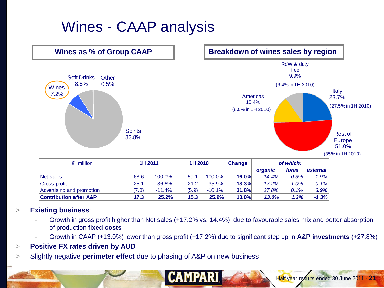# Wines - CAAP analysis



#### > **Existing business**:

- Growth in gross profit higher than Net sales (+17.2% vs. 14.4%) due to favourable sales mix and better absorption of production **fixed costs**
- Growth in CAAP (+13.0%) lower than gross profit (+17.2%) due to significant step up in **A&P investments** (+27.8%)

**CAMPARI** 

#### > **Positive FX rates driven by AUD**

> Slightly negative **perimeter effect** due to phasing of A&P on new business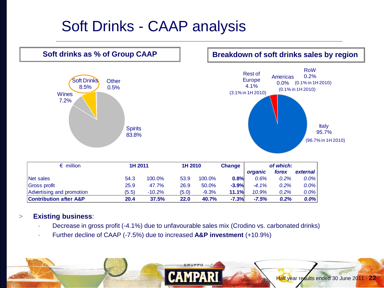# Soft Drinks - CAAP analysis



| E THILION                         |       | 10 ZV 11 | 10 ZU 10 |         | <b>Unange</b> |          | or writch: |          |
|-----------------------------------|-------|----------|----------|---------|---------------|----------|------------|----------|
|                                   |       |          |          |         |               | organic  | forex      | external |
| Net sales                         | 54.3  | 100.0%   | 53.9     | 100.0%  | 0.8%          | 0.6%     | $0.2\%$    | $0.0\%$  |
| <b>Gross profit</b>               | 25.9  | 47.7%    | 26.9     | 50.0%   | $-3.9%$       | $-4.1\%$ | 0.2%       | $0.0\%$  |
| Advertising and promotion         | (5.5) | $-10.2%$ | (5.0)    | $-9.3%$ | 11.1%         | 10.9%    | 0.2%       | $0.0\%$  |
| <b>Contribution after A&amp;P</b> | 20.4  | 37.5%    | 22.0     | 40.7%   | $-7.3%$       | $-7.5%$  | 0.2%       | $0.0\%$  |

#### > **Existing business**:

Decrease in gross profit (-4.1%) due to unfavourable sales mix (Crodino vs. carbonated drinks)

GRUPPO

- Further decline of CAAP (-7.5%) due to increased **A&P investment** (+10.9%)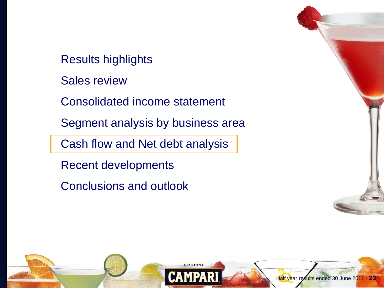Results highlights

Sales review

Consolidated income statement

Segment analysis by business area

Cash flow and Net debt analysis

Recent developments

Conclusions and outlook

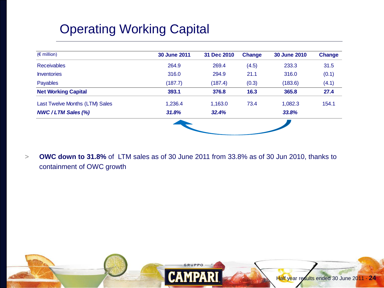# Operating Working Capital

| $(\epsilon$ million)           | 30 June 2011 | 31 Dec 2010 | <b>Change</b> | 30 June 2010 | <b>Change</b> |
|--------------------------------|--------------|-------------|---------------|--------------|---------------|
| <b>Receivables</b>             | 264.9        | 269.4       | (4.5)         | 233.3        | 31.5          |
| <b>Inventories</b>             | 316.0        | 294.9       | 21.1          | 316.0        | (0.1)         |
| Payables                       | (187.7)      | (187.4)     | (0.3)         | (183.6)      | (4.1)         |
| <b>Net Working Capital</b>     | 393.1        | 376.8       | 16.3          | 365.8        | 27.4          |
| Last Twelve Months (LTM) Sales | 1,236.4      | 1,163.0     | 73.4          | 1,082.3      | 154.1         |
| <b>NWC/LTM Sales (%)</b>       | 31.8%        | 32.4%       |               | 33.8%        |               |

> **OWC down to 31.8%** of LTM sales as of 30 June 2011 from 33.8% as of 30 Jun 2010, thanks to containment of OWC growth

**GRUPPO** 

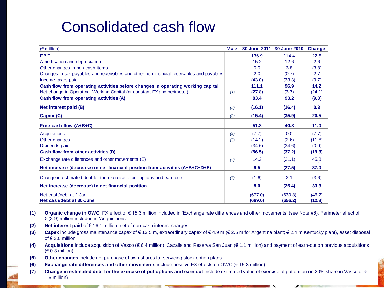# Consolidated cash flow

| $(\epsilon$ million)                                                                     | <b>Notes</b> | 30 June 2011       | 30 June 2010       | <b>Change</b>    |
|------------------------------------------------------------------------------------------|--------------|--------------------|--------------------|------------------|
| <b>EBIT</b>                                                                              |              | 136.9              | 114.4              | 22.5             |
| Amortisation and depreciation                                                            |              | 15.2               | 12.6               | 2.6              |
| Other changes in non-cash items                                                          |              | 0.0                | 3.8                | (3.8)            |
| Changes in tax payables and receivables and other non financial receivables and payables |              | 2.0                | (0.7)              | 2.7              |
| Income taxes paid                                                                        |              | (43.0)             | (33.3)             | (9.7)            |
| Cash flow from operating activities before changes in operating working capital          |              | 111.1              | 96.9               | 14.2             |
| Net change in Operating Working Capital (at constant FX and perimeter)                   | (1)          | (27.8)             | (3.7)              | (24.1)           |
| Cash flow from operating activities (A)                                                  |              | 83.4               | 93.2               | (9.8)            |
| Net interest paid (B)                                                                    | (2)          | (16.1)             | (16.4)             | 0.3              |
| Capex (C)                                                                                | (3)          | (15.4)             | (35.9)             | 20.5             |
| Free cash flow (A+B+C)                                                                   |              | 51.8               | 40.8               | 11.0             |
| <b>Acquisitions</b>                                                                      | (4)          | (7.7)              | 0.0                | (7.7)            |
| Other changes                                                                            | (5)          | (14.2)             | (2.6)              | (11.6)           |
| Dividends paid                                                                           |              | (34.6)             | (34.6)             | (0.0)            |
| Cash flow from other activities (D)                                                      |              | (56.5)             | (37.2)             | (19.3)           |
| Exchange rate differences and other movements (E)                                        | (6)          | 14.2               | (31.1)             | 45.3             |
| Net increase (decrease) in net financial position from activities (A+B+C+D+E)            |              | 9.5                | (27.5)             | 37.0             |
| Change in estimated debt for the exercise of put options and earn outs                   | (7)          | (1.6)              | 2.1                | (3.6)            |
| Net increase (decrease) in net financial position                                        |              | 8.0                | (25.4)             | 33.3             |
| Net cash/debt at 1-Jan<br>Net cash/debt at 30-June                                       |              | (677.0)<br>(669.0) | (630.8)<br>(656.2) | (46.2)<br>(12.8) |

- **(1) Organic change in OWC**. FX effect of € 15.3 million included in 'Exchange rate differences and other movements' (see Note #6). Perimeter effect of € (3.9) million included in 'Acquisitions'.
- **(2) Net interest paid** of € 16.1 million, net of non-cash interest charges
- **(3) Capex** include gross maintenance capex of € 13.5 m, extraordinary capex of € 4.9 m (€ 2.5 m for Argentina plant; € 2.4 m Kentucky plant), asset disposal of  $\in$  3.0 million
- **(4) Acquisitions** include acquisition of Vasco (€ 6.4 million), Cazalis and Reserva San Juan (€ 1.1 million) and payment of earn-out on previous acquisitions (€ 0.3 million)
- **(5) Other changes** include net purchase of own shares for servicing stock option plans
- **(6) Exchange rate differences and other movements** include positive FX effects on OWC (€ 15.3 million)
- **(7) Change in estimated debt for the exercise of put options and earn out** include estimated value of exercise of put option on 20% share in Vasco of € 1.6 million)

- 10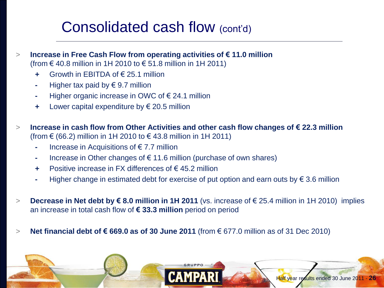# Consolidated cash flow (cont'd)

- > **Increase in Free Cash Flow from operating activities of € 11.0 million**  (from € 40.8 million in 1H 2010 to € 51.8 million in 1H 2011)
	- **+** Growth in EBITDA of € 25.1 million
	- **-** Higher tax paid by € 9.7 million
	- **-** Higher organic increase in OWC of € 24.1 million
	- **+** Lower capital expenditure by € 20.5 million
- > **Increase in cash flow from Other Activities and other cash flow changes of € 22.3 million**  (from € (66.2) million in 1H 2010 to € 43.8 million in 1H 2011)
	- **-** Increase in Acquisitions of € 7.7 million
	- **-** Increase in Other changes of € 11.6 million (purchase of own shares)
	- **+** Positive increase in FX differences of € 45.2 million
	- **-** Higher change in estimated debt for exercise of put option and earn outs by € 3.6 million
- > **Decrease in Net debt by € 8.0 million in 1H 2011** (vs. increase of € 25.4 million in 1H 2010) implies an increase in total cash flow of **€ 33.3 million** period on period
- > **Net financial debt of € 669.0 as of 30 June 2011** (from € 677.0 million as of 31 Dec 2010)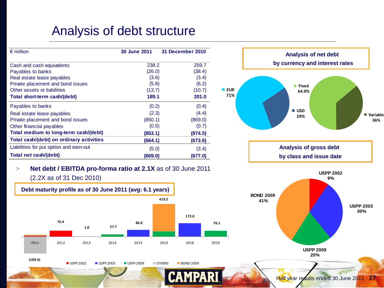### Analysis of debt structure

| $\epsilon$ million                       | 30 June 2011 | <b>31 December 2010</b> |                 |
|------------------------------------------|--------------|-------------------------|-----------------|
| Cash and cash equivalents                | 238.2        | 259.7                   |                 |
| Payables to banks                        | (26.0)       | (38.4)                  |                 |
| Real estate lease payables               | (3.6)        | (3.4)                   |                 |
| Private placement and bond issues        | (5.8)        | (6.2)                   |                 |
| Other assets or liabilities              | (13.7)       | (10.7)                  | <b>EUR</b><br>٠ |
| Total short-term cash/(debt)             | 189.1        | 201.0                   | 71%             |
| Payables to banks                        | (0.2)        | (0.4)                   |                 |
| Real estate lease payables               | (2.3)        | (4.4)                   |                 |
| Private placement and bond issues        | (850.1)      | (869.0)                 |                 |
| Other financial payables                 | (0.5)        | (0.7)                   |                 |
| Total medium to long-term cash/(debt)    | (853.1)      | (874.5)                 |                 |
| Total cash/(debt) on ordinary activities | (664.1)      | (673.6)                 |                 |
| Liabilities for put option and earn-out  | (5.0)        | (3.4)                   |                 |
| Total net cash/(debt)                    | (669.0)      | (677.0)                 |                 |



#### (2.2X as of 31 Dec 2010)

**(189.4)**



 $\Box$  USPP 2002  $\Box$  USPP 2003  $\Box$  USPP 2009  $\Box$  OTHERS  $\Box$  BOND 2009

**CAMPA** 

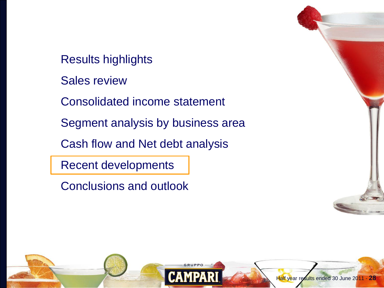Results highlights

Sales review

Consolidated income statement

Segment analysis by business area

Cash flow and Net debt analysis

Recent developments

Conclusions and outlook

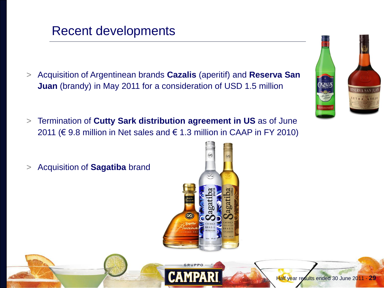#### Half year results ended 30 June 2011 - **29**

### Recent developments

- > Acquisition of Argentinean brands **Cazalis** (aperitif) and **Reserva San Juan** (brandy) in May 2011 for a consideration of USD 1.5 million
- > Termination of **Cutty Sark distribution agreement in US** as of June 2011 ( $\in$  9.8 million in Net sales and  $\in$  1.3 million in CAAP in FY 2010)
- > Acquisition of **Sagatiba** brand





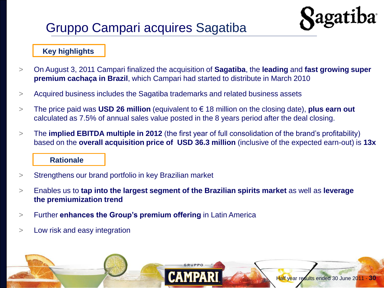## Gruppo Campari acquires Sagatiba

### **Key highlights**

- > On August 3, 2011 Campari finalized the acquisition of **Sagatiba**, the **leading** and **fast growing super premium cachaça in Brazil**, which Campari had started to distribute in March 2010
- > Acquired business includes the Sagatiba trademarks and related business assets
- > The price paid was **USD 26 million** (equivalent to € 18 million on the closing date), **plus earn out**  calculated as 7.5% of annual sales value posted in the 8 years period after the deal closing.
- > The **implied EBITDA multiple in 2012** (the first year of full consolidation of the brand's profitability) based on the **overall acquisition price of USD 36.3 million** (inclusive of the expected earn-out) is **13x**

#### **Rationale**

- > Strengthens our brand portfolio in key Brazilian market
- > Enables us to **tap into the largest segment of the Brazilian spirits market** as well as **leverage the premiumization trend**
- > Further **enhances the Group's premium offering** in Latin America
- > Low risk and easy integration

**Ragatiba**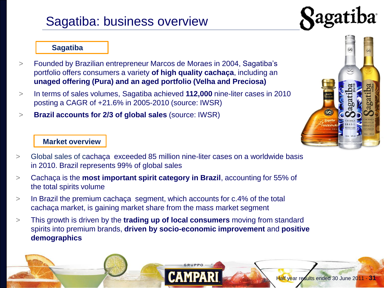### Sagatiba: business overview



#### **Sagatiba**

- > Founded by Brazilian entrepreneur Marcos de Moraes in 2004, Sagatiba's portfolio offers consumers a variety **of high quality cachaça**, including an **unaged offering (Pura) and an aged portfolio (Velha and Preciosa)**
- > In terms of sales volumes, Sagatiba achieved **112,000** nine-liter cases in 2010 posting a CAGR of +21.6% in 2005-2010 (source: IWSR)
- > **Brazil accounts for 2/3 of global sales** (source: IWSR)

#### **Market overview**



Half year results ended 30 June 2011 - **31**

- > Global sales of cachaça exceeded 85 million nine-liter cases on a worldwide basis in 2010. Brazil represents 99% of global sales
- > Cachaça is the **most important spirit category in Brazil**, accounting for 55% of the total spirits volume
- > In Brazil the premium cachaça segment, which accounts for c.4% of the total cachaça market, is gaining market share from the mass market segment
- > This growth is driven by the **trading up of local consumers** moving from standard spirits into premium brands, **driven by socio-economic improvement** and **positive demographics**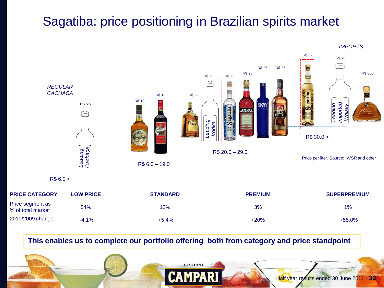### Sagatiba: price positioning in Brazilian spirits market



| <b>PRICE CATEGORY</b>                 | <b>LOW PRICE</b> | <b>STANDARD</b> | <b>PREMIUM</b> | <b>SUPERPREMIUM</b> |
|---------------------------------------|------------------|-----------------|----------------|---------------------|
| Price segment as<br>% of total market | 84%              | $12\%$          | 3%             | 1%                  |
| 2010/2009 change:                     | $-4.1%$          | $+5.4%$         | $+20%$         | $+55.0\%$           |

**This enables us to complete our portfolio offering both from category and price standpoint**

GRUPPO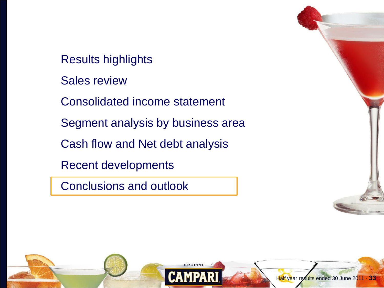Results highlights

Sales review

Consolidated income statement

Segment analysis by business area

Cash flow and Net debt analysis

Recent developments

Conclusions and outlook

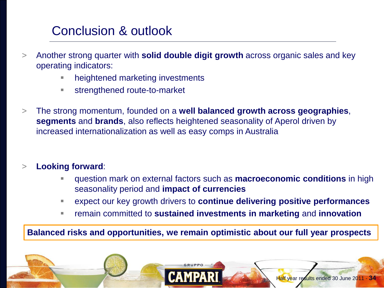## Conclusion & outlook

- > Another strong quarter with **solid double digit growth** across organic sales and key operating indicators:
	- heightened marketing investments
	- strengthened route-to-market
- > The strong momentum, founded on a **well balanced growth across geographies**, **segments** and **brands**, also reflects heightened seasonality of Aperol driven by increased internationalization as well as easy comps in Australia

### > **Looking forward**:

- question mark on external factors such as **macroeconomic conditions** in high seasonality period and **impact of currencies**
- expect our key growth drivers to **continue delivering positive performances**

Half year results ended 30 June 2011 - **34**

remain committed to **sustained investments in marketing** and **innovation**

**Balanced risks and opportunities, we remain optimistic about our full year prospects**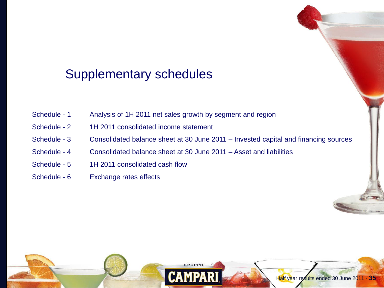### Supplementary schedules

- Schedule 1 Analysis of 1H 2011 net sales growth by segment and region
- Schedule 2 1H 2011 consolidated income statement
- Schedule 3 Consolidated balance sheet at 30 June 2011 Invested capital and financing sources
- Schedule 4 Consolidated balance sheet at 30 June 2011 Asset and liabilities
- Schedule 5 1H 2011 consolidated cash flow
- Schedule 6 Exchange rates effects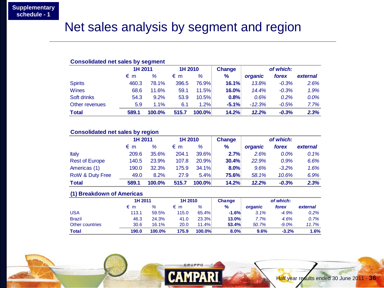### Net sales analysis by segment and region

| <b>Consolidated net sales by segment</b> |         |        |         |              |               |           |         |          |  |
|------------------------------------------|---------|--------|---------|--------------|---------------|-----------|---------|----------|--|
|                                          | 1H 2011 |        | 1H 2010 |              | <b>Change</b> | of which: |         |          |  |
|                                          | €m      | $\%$   | € m     | %            | $\frac{9}{6}$ | organic   | forex   | external |  |
| <b>Spirits</b>                           | 460.3   | 78.1%  | 396.5   | <b>76.9%</b> | 16.1%         | 13.8%     | $-0.3%$ | 2.6%     |  |
| Wines                                    | 68.6    | 11.6%  | 59.1    | 11.5%        | 16.0%         | 14.4%     | $-0.3%$ | 1.9%     |  |
| Soft drinks                              | 54.3    | 9.2%   | 53.9    | 10.5%        | 0.8%          | 0.6%      | 0.2%    | 0.0%     |  |
| Other revenues                           | 5.9     | 1.1%   | 6.1     | 1.2%         | $-5.1%$       | $-12.3%$  | $-0.5%$ | 7.7%     |  |
| <b>Total</b>                             | 589.1   | 100.0% | 515.7   | 100.0%       | 14.2%         | 12.2%     | $-0.3%$ | 2.3%     |  |

#### **Consolidated net sales by region**

|                            | 1H 2011 |        | 1H 2010 |        | Change        | of which: |         |          |
|----------------------------|---------|--------|---------|--------|---------------|-----------|---------|----------|
|                            | €m      | ℅      | €m      | ℅      | $\frac{9}{6}$ | organic   | forex   | external |
| <b>Italy</b>               | 209.6   | 35.6%  | 204.1   | 39.6%  | 2.7%          | 2.6%      | $0.0\%$ | 0.1%     |
| <b>Rest of Europe</b>      | 140.5   | 23.9%  | 107.8   | 20.9%  | 30.4%         | 22.9%     | 0.9%    | 6.6%     |
| Americas (1)               | 190.0   | 32.3%  | 175.9   | 34.1%  | 8.0%          | 9.6%      | $-3.2%$ | 1.6%     |
| <b>RoW &amp; Duty Free</b> | 49.0    | 8.2%   | 27.9    | 5.4%   | 75.6%         | 58.1%     | 10.6%   | 6.9%     |
| <b>Total</b>               | 589.1   | 100.0% | 515.7   | 100.0% | 14.2%         | 12.2%     | $-0.3%$ | 2.3%     |

#### **(1) Breakdown of Americas**

| <u>___</u>      | 1H 2011 |        | 1H 2010 |        | <b>Change</b> | of which: |          |          |
|-----------------|---------|--------|---------|--------|---------------|-----------|----------|----------|
|                 | € m     | %      | € m     | %      | $\%$          | organic   | forex    | external |
| USA             | 113.1   | 59.5%  | 115.0   | 65.4%  | $-1.6%$       | 3.1%      | $-4.9%$  | 0.2%     |
| <b>Brazil</b>   | 46.3    | 24.3%  | 41.0    | 23.3%  | 13.0%         | 7.7%      | 4.6%     | 0.7%     |
| Other countries | 30.6    | 16.1%  | 20.0    | 11.4%  | 53.4%         | 50.7%     | $-9.0\%$ | 11.7%    |
| <b>Total</b>    | 190.0   | 100.0% | 175.9   | 100.0% | 8.0%          | 9.6%      | $-3.2%$  | 1.6%     |

**GRUPPO** 

RI

**CAMPA**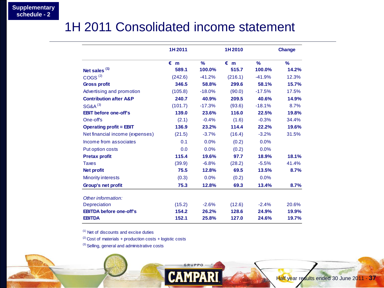### 1H 2011 Consolidated income statement

|                                   | 1H 2011      |               | 1H2010       |          | Change |
|-----------------------------------|--------------|---------------|--------------|----------|--------|
|                                   | $\epsilon$ m | $\frac{9}{6}$ | $\epsilon$ m | $\%$     | $\%$   |
| Net sales <sup>(1)</sup>          | 589.1        | 100.0%        | 515.7        | 100.0%   | 14.2%  |
| COGS <sup>(2)</sup>               | (242.6)      | $-41.2%$      | (216.1)      | $-41.9%$ | 12.3%  |
| <b>Gross profit</b>               | 346.5        | 58.8%         | 299.6        | 58.1%    | 15.7%  |
| Advertising and promotion         | (105.8)      | $-18.0%$      | (90.0)       | $-17.5%$ | 17.5%  |
| <b>Contribution after A&amp;P</b> | 240.7        | 40.9%         | 209.5        | 40.6%    | 14.9%  |
| <b>SG&amp;A<sup>(3)</sup></b>     | (101.7)      | $-17.3%$      | (93.6)       | $-18.1%$ | 8.7%   |
| <b>EBIT before one-off's</b>      | 139.0        | 23.6%         | 116.0        | 22.5%    | 19.8%  |
| One-off's                         | (2.1)        | $-0.4%$       | (1.6)        | $-0.3%$  | 34.4%  |
| <b>Operating profit = EBIT</b>    | 136.9        | 23.2%         | 114.4        | 22.2%    | 19.6%  |
| Net financial income (expenses)   | (21.5)       | $-3.7%$       | (16.4)       | $-3.2%$  | 31.5%  |
| Income from associates            | 0.1          | 0.0%          | (0.2)        | 0.0%     |        |
| Put option costs                  | 0.0          | 0.0%          | (0.2)        | 0.0%     |        |
| <b>Pretax profit</b>              | 115.4        | 19.6%         | 97.7         | 18.9%    | 18.1%  |
| <b>Taxes</b>                      | (39.9)       | $-6.8%$       | (28.2)       | $-5.5%$  | 41.4%  |
| <b>Net profit</b>                 | 75.5         | 12.8%         | 69.5         | 13.5%    | 8.7%   |
| <b>Minority interests</b>         | (0.3)        | 0.0%          | (0.2)        | 0.0%     |        |
| <b>Group's net profit</b>         | 75.3         | 12.8%         | 69.3         | 13.4%    | 8.7%   |
| Other information:                |              |               |              |          |        |
| <b>Depreciation</b>               | (15.2)       | $-2.6%$       | (12.6)       | $-2.4%$  | 20.6%  |
| <b>EBITDA before one-off's</b>    | 154.2        | 26.2%         | 128.6        | 24.9%    | 19.9%  |
| <b>EBITDA</b>                     | 152.1        | 25.8%         | 127.0        | 24.6%    | 19.7%  |

**GRUPPO** 

**CAMPARI** 

 $(1)$  Net of discounts and excise duties

 $(2)$  Cost of materials + production costs + logistic costs

<sup>(3)</sup> Selling, general and administrative costs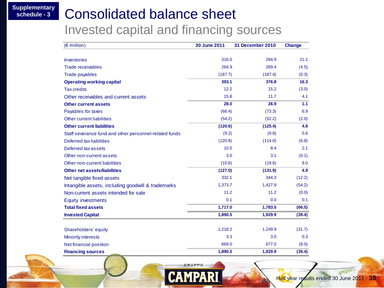**Supplementary** 

# **Consolidated balance sheet**

Invested capital and financing sources

| $(E$ million)                                          | 30 June 2011 | 31 December 2010 | <b>Change</b> |
|--------------------------------------------------------|--------------|------------------|---------------|
|                                                        |              |                  |               |
| Inventories                                            | 316.0        | 294.9            | 21.1          |
| <b>Trade receivables</b>                               | 264.9        | 269.4            | (4.5)         |
| <b>Trade payables</b>                                  | (187.7)      | (187.4)          | (0.3)         |
| <b>Operating working capital</b>                       | 393.1        | 376.8            | 16.3          |
| <b>Tax credits</b>                                     | 12.2         | 15.2             | (3.0)         |
| Other receivables and current assets                   | 15.8         | 11.7             | 4.1           |
| <b>Other current assets</b>                            | 28.0         | 26.9             | 1.1           |
| Payables for taxes                                     | (66.4)       | (73.3)           | 6.9           |
| Other current liabilities                              | (54.2)       | (52.2)           | (2.0)         |
| <b>Other current liabilities</b>                       | (120.6)      | (125.4)          | 4.8           |
| Staff severance fund and other personnel-related funds | (9.2)        | (9.8)            | 0.6           |
| Deferred tax liabilities                               | (120.8)      | (114.0)          | (6.8)         |
| Deferred tax assets                                    | 10.5         | 8.4              | 2.1           |
| Other non-current assets                               | 3.0          | 3.1              | (0.1)         |
| Other non-current liabilities                          | (10.6)       | (19.6)           | 9.0           |
| Other net assets/liabilities                           | (127.0)      | (131.9)          | 4.9           |
| Net tangible fixed assets                              | 332.1        | 344.3            | (12.2)        |
| Intangible assets, including goodwill & trademarks     | 1,373.7      | 1,427.9          | (54.2)        |
| Non-current assets intended for sale                   | 11.2         | 11.2             | (0.0)         |
| <b>Equity investments</b>                              | 0.1          | 0.0              | 0.1           |
| <b>Total fixed assets</b>                              | 1,717.0      | 1,783.5          | (66.5)        |
| <b>Invested Capital</b>                                | 1,890.5      | 1,929.9          | (39.4)        |
|                                                        |              |                  |               |
| Shareholders' equity                                   | 1,218.2      | 1,249.9          | (31.7)        |
| <b>Minority interests</b>                              | 3.3          | 3.0              | 0.3           |
| Net financial position                                 | 669.0        | 677.0            | (8.0)         |
| <b>Financing sources</b>                               | 1,890.5      | 1,929.9          | (39.4)        |

GRUPPO

**CAMPA**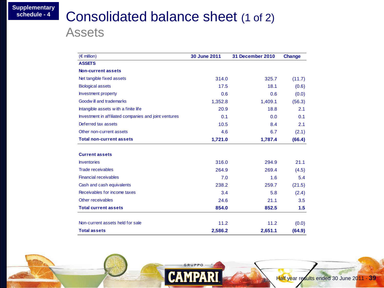# **Consolidated balance sheet (1 of 2)**

Assets

| $(\epsilon$ million)                                  | 30 June 2011 | <b>31 December 2010</b> | <b>Change</b>   |
|-------------------------------------------------------|--------------|-------------------------|-----------------|
| <b>ASSETS</b>                                         |              |                         |                 |
| Non-current assets                                    |              |                         |                 |
| Net tangible fixed assets                             | 314.0        | 325.7                   | (11.7)          |
| <b>Biological assets</b>                              | 17.5         | 18.1                    | (0.6)           |
| <b>Investment property</b>                            | 0.6          | 0.6                     | (0.0)           |
| Goodwill and trademarks                               | 1,352.8      | 1,409.1                 | (56.3)          |
| Intangible assets with a finite life                  | 20.9         | 18.8                    | 2.1             |
| Investment in affiliated companies and joint ventures | 0.1          | 0.0                     | 0.1             |
| Deferred tax assets                                   | 10.5         | 8.4                     | 2.1             |
| Other non-current assets                              | 4.6          | 6.7                     | (2.1)           |
| <b>Total non-current assets</b>                       | 1,721.0      | 1,787.4                 | (66.4)          |
| <b>Current assets</b>                                 |              |                         |                 |
| <b>Inventories</b>                                    | 316.0        | 294.9                   | 21.1            |
| <b>Trade receivables</b>                              | 264.9        | 269.4                   | (4.5)           |
| <b>Financial receivables</b>                          | 7.0          | 1.6                     | 5.4             |
| Cash and cash equivalents                             | 238.2        | 259.7                   | (21.5)          |
| Receivables for income taxes                          | 3.4          | 5.8                     | (2.4)           |
| Other receivables                                     | 24.6         | 21.1                    | 3.5             |
| <b>Total current assets</b>                           | 854.0        | 852.5                   | 1.5             |
| Non-current assets held for sale                      | 11.2         | 11.2                    |                 |
| <b>Total assets</b>                                   | 2,586.2      | 2,651.1                 | (0.0)<br>(64.9) |

GRUPPO-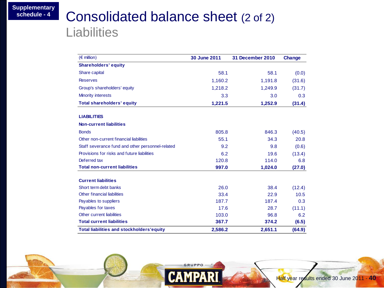### **Consolidated balance sheet (2 of 2) Liabilities**

| $(\epsilon$ million)                             | 30 June 2011 | <b>31 December 2010</b> | Change |
|--------------------------------------------------|--------------|-------------------------|--------|
| <b>Shareholders' equity</b>                      |              |                         |        |
| Share capital                                    | 58.1         | 58.1                    | (0.0)  |
| <b>Reserves</b>                                  | 1,160.2      | 1,191.8                 | (31.6) |
| Group's shareholders' equity                     | 1,218.2      | 1,249.9                 | (31.7) |
| <b>Minority interests</b>                        | 3.3          | 3.0                     | 0.3    |
| <b>Total shareholders' equity</b>                | 1,221.5      | 1,252.9                 | (31.4) |
| <b>LIABILITIES</b>                               |              |                         |        |
| <b>Non-current liabilities</b>                   |              |                         |        |
| <b>Bonds</b>                                     | 805.8        | 846.3                   | (40.5) |
| Other non-current financial liabilities          | 55.1         | 34.3                    | 20.8   |
| Staff severance fund and other personnel-related | 9.2          | 9.8                     | (0.6)  |
| Provisions for risks and future liabilities      | 6.2          | 19.6                    | (13.4) |
| Deferred tax                                     | 120.8        | 114.0                   | 6.8    |
| <b>Total non-current liabilities</b>             | 997.0        | 1,024.0                 | (27.0) |
| <b>Current liabilities</b>                       |              |                         |        |
| Short term debt banks                            | 26.0         | 38.4                    | (12.4) |
| <b>Other financial liabilities</b>               | 33.4         | 22.9                    | 10.5   |
| Payables to suppliers                            | 187.7        | 187.4                   | 0.3    |
| Payables for taxes                               | 17.6         | 28.7                    | (11.1) |
| Other current liabilities                        | 103.0        | 96.8                    | 6.2    |
| <b>Total current liabilities</b>                 | 367.7        | 374.2                   | (6.5)  |
| <b>Total liabilities and stockholders'equity</b> | 2,586.2      | 2,651.1                 | (64.9) |

GRUPPO-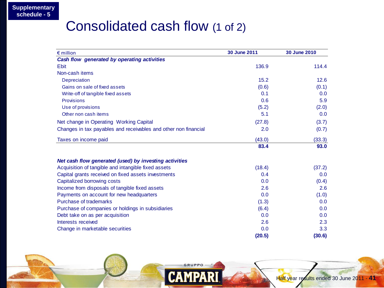### Consolidated cash flow (1 of 2)

| $\epsilon$ million                                              | 30 June 2011 | 30 June 2010 |
|-----------------------------------------------------------------|--------------|--------------|
| Cash flow generated by operating activities                     |              |              |
| <b>Ebit</b>                                                     | 136.9        | 114.4        |
| Non-cash items                                                  |              |              |
| Depreciation                                                    | 15.2         | 12.6         |
| Gains on sale of fixed assets                                   | (0.6)        | (0.1)        |
| Write-off of tangible fixed assets                              | 0.1          | 0.0          |
| <b>Provisions</b>                                               | 0.6          | 5.9          |
| Use of provisions                                               | (5.2)        | (2.0)        |
| Other non cash items                                            | 5.1          | 0.0          |
| Net change in Operating Working Capital                         | (27.8)       | (3.7)        |
| Changes in tax payables and receivables and other non financial | 2.0          | (0.7)        |
| Taxes on income paid                                            | (43.0)       | (33.3)       |
|                                                                 | 83.4         | 93.0         |
| Net cash flow generated (used) by investing activities          |              |              |
| Acquisition of tangible and intangible fixed assets             | (18.4)       | (37.2)       |
| Capital grants received on fixed assets investments             | 0.4          | 0.0          |
| Capitalized borrowing costs                                     | 0.0          | (0.4)        |
| Income from disposals of tangible fixed assets                  | 2.6          | 2.6          |
| Payments on account for new headquarters                        | 0.0          | (1.0)        |
| Purchase of trademarks                                          | (1.3)        | 0.0          |
| Purchase of companies or holdings in subsidiaries               | (6.4)        | 0.0          |
| Debt take on as per acquisition                                 | 0.0          | 0.0          |
| Interests received                                              | 2.6          | 2.3          |
| Change in marketable securities                                 | 0.0          | 3.3          |
|                                                                 | (20.5)       | (30.6)       |

GRUPPO-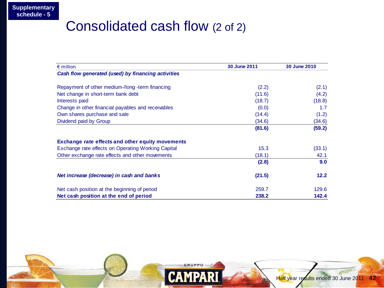### Consolidated cash flow (2 of 2)

| $\epsilon$ million                                      | 30 June 2011 | 30 June 2010 |
|---------------------------------------------------------|--------------|--------------|
| Cash flow generated (used) by financing activities      |              |              |
| Repayment of other medium-/long -term financing         | (2.2)        | (2.1)        |
| Net change in short-term bank debt                      | (11.6)       | (4.2)        |
| Interests paid                                          | (18.7)       | (18.8)       |
| Change in other financial payables and receivables      | (0.0)        | 1.7          |
| Own shares purchase and sale                            | (14.4)       | (1.2)        |
| Dividend paid by Group                                  | (34.6)       | (34.6)       |
|                                                         | (81.6)       | (59.2)       |
| <b>Exchange rate effects and other equity movements</b> |              |              |
| Exchange rate effects on Operating Working Capital      | 15.3         | (33.1)       |
| Other exchange rate effects and other movements         | (18.1)       | 42.1         |
|                                                         | (2.8)        | 9.0          |
| Net increase (decrease) in cash and banks               | (21.5)       | 12.2         |
| Net cash position at the beginning of period            | 259.7        | 129.6        |
| Net cash position at the end of period                  | 238.2        | 142.4        |

**GRUPPO**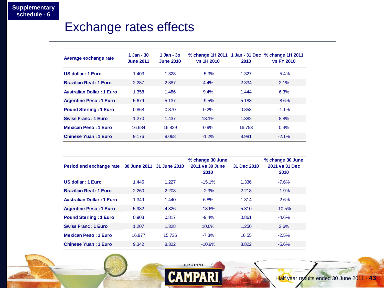### Exchange rates effects

| Average exchange rate            | $1$ Jan - 30<br><b>June 2011</b> | $1$ Jan - $30$<br><b>June 2010</b> | % change 1H 2011 1 Jan - 31 Dec % change 1H 2011<br>vs 1H 2010 | 2010   | <b>vs FY 2010</b> |
|----------------------------------|----------------------------------|------------------------------------|----------------------------------------------------------------|--------|-------------------|
| US dollar: 1 Euro                | 1.403                            | 1.328                              | $-5.3%$                                                        | 1.327  | $-5.4\%$          |
| <b>Brazilian Real: 1 Euro</b>    | 2.287                            | 2.387                              | 4.4%                                                           | 2.334  | 2.1%              |
| <b>Australian Dollar: 1 Euro</b> | 1.358                            | 1.486                              | 9.4%                                                           | 1.444  | 6.3%              |
| <b>Argentine Peso: 1 Euro</b>    | 5.679                            | 5.137                              | $-9.5%$                                                        | 5.188  | $-8.6%$           |
| <b>Pound Sterling: 1 Euro</b>    | 0.868                            | 0.870                              | 0.2%                                                           | 0.858  | $-1.1\%$          |
| <b>Swiss Franc: 1 Euro</b>       | 1.270                            | 1.437                              | 13.1%                                                          | 1.382  | 8.8%              |
| <b>Mexican Peso: 1 Euro</b>      | 16.684                           | 16.829                             | 0.9%                                                           | 16.753 | $0.4\%$           |
| <b>Chinese Yuan: 1 Euro</b>      | 9.176                            | 9.068                              | $-1.2%$                                                        | 8.981  | $-2.1%$           |

| Period end exchange rate 30 June 2011 31 June 2010 |        |        | % change 30 June<br>2011 vs 30 June<br>2010 | 31 Dec 2010 | % change 30 June<br>2011 vs 31 Dec<br>2010 |
|----------------------------------------------------|--------|--------|---------------------------------------------|-------------|--------------------------------------------|
| US dollar: 1 Euro                                  | 1.445  | 1.227  | $-15.1%$                                    | 1.336       | $-7.6%$                                    |
| <b>Brazilian Real: 1 Euro</b>                      | 2.260  | 2.208  | $-2.3%$                                     | 2.218       | $-1.9%$                                    |
| <b>Australian Dollar: 1 Euro</b>                   | 1.349  | 1.440  | 6.8%                                        | 1.314       | $-2.6%$                                    |
| <b>Argentine Peso: 1 Euro</b>                      | 5.932  | 4.826  | $-18.6%$                                    | 5.310       | $-10.5%$                                   |
| <b>Pound Sterling: 1 Euro</b>                      | 0.903  | 0.817  | $-9.4%$                                     | 0.861       | $-4.6%$                                    |
| <b>Swiss Franc: 1 Euro</b>                         | 1.207  | 1.328  | $10.0\%$                                    | 1.250       | 3.6%                                       |
| <b>Mexican Peso: 1 Euro</b>                        | 16.977 | 15.736 | $-7.3%$                                     | 16.55       | $-2.5%$                                    |
| <b>Chinese Yuan: 1 Euro</b>                        | 9.342  | 8.322  | $-10.9%$                                    | 8.822       | $-5.6%$                                    |

GRUPPO-